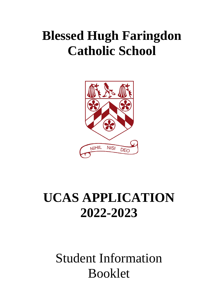# **Blessed Hugh Faringdon Catholic School**



# **UCAS APPLICATION 2022-2023**

### Student Information Booklet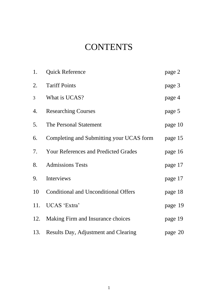### **CONTENTS**

| 1.             | <b>Quick Reference</b>                      | page 2  |
|----------------|---------------------------------------------|---------|
| 2.             | <b>Tariff Points</b>                        | page 3  |
| $\overline{3}$ | What is UCAS?                               | page 4  |
| 4.             | <b>Researching Courses</b>                  | page 5  |
| 5.             | The Personal Statement                      | page 10 |
| 6.             | Completing and Submitting your UCAS form    | page 15 |
| 7.             | <b>Your References and Predicted Grades</b> | page 16 |
| 8.             | <b>Admissions Tests</b>                     | page 17 |
| 9.             | Interviews                                  | page 17 |
| 10             | <b>Conditional and Unconditional Offers</b> | page 18 |
| 11.            | UCAS 'Extra'                                | page 19 |
|                | 12. Making Firm and Insurance choices       | page 19 |
|                | 13. Results Day, Adjustment and Clearing    | page 20 |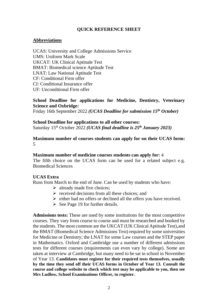#### **QUICK REFERENCE SHEET**

#### **Abbreviations**

UCAS: University and College Admissions Service UMS: Uniform Mark Scale UKCAT: UK Clinical Aptitude Test BMAT: Biomedical science Aptitude Test LNAT: Law National Aptitude Test CF: Conditional Firm offer CI: Conditional Insurance offer UF: Unconditional Firm offer

#### **School Deadline for applications for Medicine, Dentistry, Veterinary Science and Oxbridge:**

Friday 16th September 2022 *(UCAS Deadline for submission 15th October)*

**School Deadline for applications to all other courses:** Saturday 15th October 2022 *(UCAS final deadline is 25th January 2023)*

#### **Maximum number of courses students can apply for on their UCAS form:**  5

#### **Maximum number of medicine courses students can apply for:** 4

The fifth choice on the UCAS form can be used for a related subject e.g. Biomedical Sciences

#### **UCAS Extra**

Runs from March to the end of June. Can be used by students who have:

- $\triangleright$  already made five choices;
- $\triangleright$  received decisions from all these choices; and
- $\triangleright$  either had no offers or declined all the offers you have received.
- $\triangleright$  See Page 19 for further details.

**Admissions tests:** These are used by some institutions for the most competitive courses. They vary from course to course and must be researched and booked by the students. The most common are the UKCAT (UK Clinical Aptitude Test),and the BMAT (Biomedical Science Admissions Test) required by some universities for Medicine or Dentistry; the LNAT for some Law courses and the STEP paper in Mathematics. Oxford and Cambridge use a number of different admissions tests for different courses (requirements can even vary by college). Some are taken at interview at Cambridge, but many need to be sat in school in November of Year 13. **Candidates must register for their required tests themselves, usually by the time they send off their UCAS forms in October of Year 13. Consult the course and college website to check which test may be applicable to you, then see Mrs Ludlow, School Examinations Officer, to register.**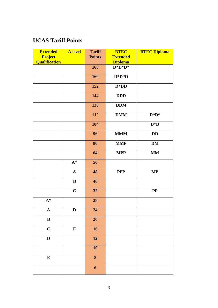### **UCAS Tariff Points**

| <b>Extended</b>         | A level     | <b>Tariff</b>           | <b>BTEC</b>     | <b>BTEC Diploma</b> |
|-------------------------|-------------|-------------------------|-----------------|---------------------|
| Project                 |             | <b>Points</b>           | <b>Extended</b> |                     |
| <b>Qualification</b>    |             |                         | <b>Diploma</b>  |                     |
|                         |             | 168                     | $D^*D^*D^*$     |                     |
|                         |             | 160                     | $D^*D^*D$       |                     |
|                         |             | 152                     | $D^*DD$         |                     |
|                         |             | 144                     | <b>DDD</b>      |                     |
|                         |             | 128                     | <b>DDM</b>      |                     |
|                         |             | 112                     | <b>DMM</b>      | $D^*D^*$            |
|                         |             | 104                     |                 | $D^*D$              |
|                         |             | 96                      | <b>MMM</b>      | DD                  |
|                         |             | 80                      | <b>MMP</b>      | $\mathbf{DM}$       |
|                         |             | 64                      | <b>MPP</b>      | <b>MM</b>           |
|                         | ${\bf A}^*$ | 56                      |                 |                     |
|                         | $\mathbf A$ | 48                      | <b>PPP</b>      | $\bf MP$            |
|                         | $\bf{B}$    | 40                      |                 |                     |
|                         | $\mathbf C$ | 32                      |                 | $\bf PP$            |
| $A^*$                   |             | 28                      |                 |                     |
| $\mathbf A$             | D           | 24                      |                 |                     |
| $\, {\bf B}$            |             | $\overline{20}$         |                 |                     |
| $\overline{\mathbf{C}}$ | ${\bf E}$   | $\overline{16}$         |                 |                     |
| $\mathbf D$             |             | 12                      |                 |                     |
|                         |             | 10                      |                 |                     |
| ${\bf E}$               |             | $\overline{\mathbf{8}}$ |                 |                     |
|                         |             | $\boldsymbol{6}$        |                 |                     |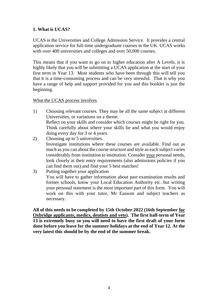#### **1. What is UCAS?**

UCAS is the Universities and College Admission Service. It provides a central application service for full-time undergraduate courses in the UK. UCAS works with over 400 universities and colleges and over 50,000 courses.

This means that if you want to go on to higher education after A Levels, it is highly likely that you will be submitting a UCAS application at the start of your first term in Year 13. Most students who have been through this will tell you that it is a time-consuming process and can be very stressful. That is why you have a range of help and support provided for you and this booklet is just the beginning.

#### What the UCAS process involves

- 1) Choosing relevant courses. They may be all the same subject at different Universities, or variations on a theme. Reflect on your skills and consider which courses might be right for you. Think carefully about where your skills lie and what you would enjoy doing every day for 3 or 4 years.
- 2) Choosing up to 5 universities. Investigate institutions where these courses are available. Find out as much as you can about the course structure and style as each subject varies considerably from institution to institution. Consider your personal needs, look closely at their entry requirements (also admissions policies if you can find them out) and find your 5 best matches!
- 3) Putting together your application You will have to gather information about past examination results and former schools, know your Local Education Authority etc. but writing your personal statement is the most important part of this form. You will work on this with your tutor, Mr Eassom and subject teachers as necessary.

**All of this needs to be completed by 15th October 2022 (16th September for Oxbridge applicants, medics, dentists and vets). The first half-term of Year 13 is extremely busy so you will need to have the first draft of your form done before you leave for the summer holidays at the end of Year 12. At the very latest this should be by the end of the summer break.**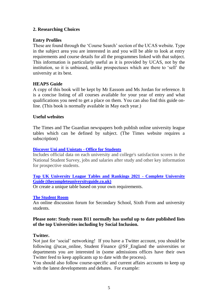#### **2. Researching Choices**

#### **Entry Profiles**

These are found through the 'Course Search' section of the UCAS website. Type in the subject area you are interested in and you will be able to look at entry requirements and course details for all the programmes linked with that subject. This information is particularly useful as it is provided by UCAS, not by the institution, so it is unbiased, unlike prospectuses which are there to 'sell' the university at its best.

#### **HEAPS Guide**

A copy of this book will be kept by Mr Eassom and Ms Jordan for reference. It is a concise listing of all courses available for your year of entry and what qualifications you need to get a place on them. You can also find this guide online. (This book is normally available in May each year.)

#### **Useful websites**

The Times and The Guardian newspapers both publish online university league tables which can be defined by subject. (The Times website requires a subscription)

#### **[Discover Uni and Unistats -](https://www.officeforstudents.org.uk/advice-and-guidance/student-information-and-data/discover-uni-and-unistats/) Office for Students**

Includes official data on each university and college's satisfaction scores in the National Student Survey, jobs and salaries after study and other key information for prospective students.

#### **[Top UK University League Tables and Rankings 2021 -](https://www.thecompleteuniversityguide.co.uk/league-tables/rankings) Complete University [Guide \(thecompleteuniversityguide.co.uk\)](https://www.thecompleteuniversityguide.co.uk/league-tables/rankings)**

Or create a unique table based on your own requirements.

#### **[The Student Room](https://www.thestudentroom.co.uk/)**

An online discussion forum for Secondary School, Sixth Form and university students.

#### **Please note: Study room B11 normally has useful up to date published lists of the top Universities including by Social Inclusion.**

#### **Twitter.**

Not just for 'social' networking! If you have a Twitter account, you should be following @ucas\_online, Student Finance @SF\_England the universities or departments you are interested in (some admissions offices have their own Twitter feed to keep applicants up to date with the process).

You should also follow course-specific and current affairs accounts to keep up with the latest developments and debates. For example: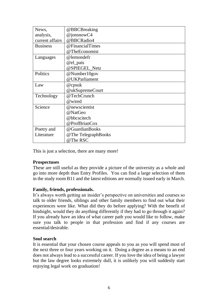| News,           | @BBCBreaking        |
|-----------------|---------------------|
| analysis,       | @jonsnowC4          |
| current affairs | @BBCRadio4          |
| <b>Business</b> | @FinancialTimes     |
|                 | @TheEconomist       |
| Languages       | @lemondefr          |
|                 | @el_pais            |
|                 | @SPIEGEL_Netz       |
| Politics        | @Number10gov        |
|                 | @UKParliament       |
| Law             | @cpsuk              |
|                 | @ukSupremeCourt     |
| Technology      | @TechCrunch         |
|                 | @wired              |
| Science         | @newscientist       |
|                 | @NatGeo             |
|                 | @bbcscitech         |
|                 | @ProfBrianCox       |
| Poetry and      | @GuardianBooks      |
| Literature      | @The TelegraphBooks |
|                 | @The RSC            |

This is just a selection, there are many more!

#### **Prospectuses**

These are still useful as they provide a picture of the university as a whole and go into more depth than Entry Profiles. You can find a large selection of them in the study room B11 and the latest editions are normally issued early in March.

#### **Family, friends, professionals.**

It's always worth getting an insider's perspective on universities and courses so talk to older friends, siblings and other family members to find out what their experiences were like. What did they do before applying? With the benefit of hindsight, would they do anything differently if they had to go through it again? If you already have an idea of what career path you would like to follow, make sure you talk to people in that profession and find if any courses are essential/desirable.

#### **Soul search**

It is essential that your chosen course appeals to you as you will spend most of the next three or four years working on it. Doing a degree as a means to an end does not always lead to a successful career. If you love the idea of being a lawyer but the law degree looks extremely dull, it is unlikely you will suddenly start enjoying legal work on graduation!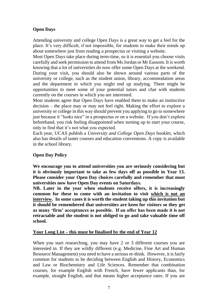#### **Open Days**

Attending university and college Open Days is a great way to get a feel for the place. It's very difficult, if not impossible, for students to make their minds up about somewhere just from reading a prospectus or visiting a website.

Most Open Days take place during term-time, so it is essential you choose visits carefully and seek permission to attend from Ms Jordan or Mr Eassom. It is worth knowing that a lot of universities do now offer some Open Days at the weekend. During your visit, you should also be shown around various parts of the university or college, such as the student union, library, accommodation areas and the department in which you might end up studying. There might be opportunities to meet some of your potential tutors and chat with students currently on the courses in which you are interested.

Most students agree that Open Days have enabled them to make an instinctive decision – the place may or may not feel right. Making the effort to explore a university or college in this way should prevent you applying to go to somewhere just because it "looks nice" in a prospectus or on a website. If you don't explore beforehand, you risk feeling disappointed when turning up to start your course, only to find that it's not what you expected.

Each year, UCAS publish a *University and College Open Days* booklet, which also has details of taster courses and education conventions. A copy is available in the school library.

#### **Open Day Policy**

**We encourage you to attend universities you are seriously considering but it is obviously important to take as few days off as possible in Year 13. Please consider your Open Day choices carefully and remember that most universities now have Open Day events on Saturdays.**

**NB. Later in the year when students receive offers, it is increasingly common for these to come with an invitation to visit which is not an interview. In some cases it is worth the student taking up this invitation but it should be remembered that universities are keen for visitors so they get as many 'firm' acceptances as possible. If an offer has been made it is not retractable and the student is not obliged to go and take valuable time off school.**

#### **Your Long List – this must be finalised by the end of Year 12**

When you start researching, you may have 2 or 3 different courses you are interested in. If they are wildly different (e.g. Medicine, Fine Art and Human Resource Management) you need to have a serious re-think. However, it is fairly common for students to be deciding between English and History, Economics and Law or Biochemistry and Life Sciences. Remember that combination courses, for example English with French, have fewer applicants than, for example, straight English, and that means higher acceptance rates. If you are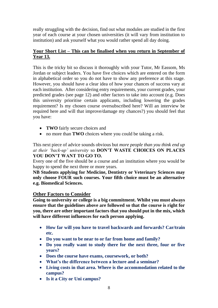really struggling with the decision, find out what modules are studied in the first year of each course at your chosen universities (it will vary from institution to institution) and ask yourself what you would rather spend all day doing.

#### **Your Short List – This can be finalised when you return in September of Year 13.**

This is the tricky bit so discuss it thoroughly with your Tutor, Mr Eassom, Ms Jordan or subject leaders. You have five choices which are entered on the form in alphabetical order so you do not have to show any preference at this stage. However, you should have a clear idea of how your chances of success vary at each institution. After considering entry requirements, your current grades, your predicted grades (see page 12) and other factors to take into account (e.g. Does this university prioritise certain applicants, including lowering the grades requirement? Is my chosen course oversubscribed here? Will an interview be required here and will that improve/damage my chances?) you should feel that you have:

- **TWO** fairly secure choices and
- no more than **TWO** choices where you could be taking a risk.

This next piece of advice sounds obvious but *more people than you think end up at their 'back-up' university* so **DON'T WASTE CHOICES ON PLACES YOU DON'T WANT TO GO TO.**

Every one of the five should be a course and an institution where you would be happy to spend the next three or more years.

**NB Students applying for Medicine, Dentistry or Veterinary Sciences may only choose FOUR such courses. Your fifth choice must be an alternative e.g. Biomedical Sciences.**

#### **Other Factors to Consider**

**Going to university or college is a big commitment. Whilst you must always ensure that the guidelines above are followed so that the course is right for you, there are other important factors that you should put in the mix, which will have different influences for each person applying.**

- **How far will you have to travel backwards and forwards? Car/train etc.**
- **Do you want to be near to or far from home and family?**
- **Do you really want to study there for the next three, four or five years?**
- **Does the course have exams, coursework, or both?**
- **What's the difference between a lecture and a seminar?**
- **Living costs in that area. Where is the accommodation related to the campus?**
- **Is it a City or Uni campus?**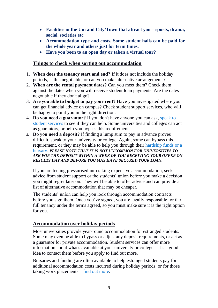- **Facilities in the Uni and City/Town that attract you – sports, drama, social, societies etc**
- **Accommodation type and costs. Some student halls can be paid for the whole year and others just for term times.**
- **Have you been to an open day or taken a virtual tour?**

#### **Things to check when sorting out accommodation**

- 1. **When does the tenancy start and end?** If it does not include the holiday periods, is this negotiable, or can you make alternative arrangements?
- 2. **When are the rental payment dates?** Can you meet them? Check them against the dates when you will receive student loan payments. Are the dates negotiable if they don't align?
- 3. **Are you able to budget to pay your rent?** Have you investigated where you can get financial advice on campus? Check student support services, who will be happy to point you in the right direction.
- 4. **Do you need a guarantor?** If you don't have anyone you can ask, [speak to](https://www.ucas.com/undergraduate/student-life/getting-student-support/support-universities-and-colleges)  [student services](https://www.ucas.com/undergraduate/student-life/getting-student-support/support-universities-and-colleges) to see if they can help. Some universities and colleges can act as guarantors, or help you bypass this requirement.
- *5.* **Do you need a deposit?** If finding a lump sum to pay in advance proves difficult, speak to your university or college. Again, some can bypass this requirement, or they may be able to help you through their [hardship funds or a](https://www.ucas.com/finance/additional-funding/financial-support-students-not-supported-their-family-estranged)  [bursary.](https://www.ucas.com/finance/additional-funding/financial-support-students-not-supported-their-family-estranged) *PLEASE NOTE THAT IT IS NOT UNCOMMON FOR UNIVERSITIES TO ASK FOR THE DEPOSIT WITHIN A WEEK OF YOU RECEIVING YOUR OFFER ON RESULTS DAY AND BEFORE YOU MAY HAVE SECURED YOUR LOAN.*

If you are feeling pressurised into taking expensive accommodation, seek advice from student support or the students' union before you make a decision you might regret later on. They will be able to offer advice and can provide a list of alternative accommodation that may be cheaper.

The students' union can help you look through accommodation contracts before you sign them. Once you've signed, you are legally responsible for the full tenancy under the terms agreed, so you must make sure it is the right option for you.

#### **Accommodation over holiday periods**

Most universities provide year-round accommodation for estranged students. Some may even be able to bypass or adjust any deposit requirements, or act as a guarantor for private accommodation. Student services can offer more information about what's available at your university or college – it's a good idea to contact them before you apply to find out more.

Bursaries and funding are often available to help estranged students pay for additional accommodation costs incurred during holiday periods, or for those taking work placements – [find out more.](https://www.ucas.com/finance/additional-funding/financial-support-students-not-supported-their-family-estranged)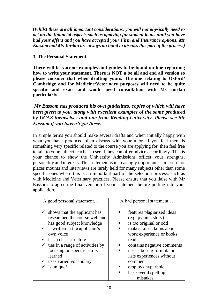**(***Whilst these are all important considerations, you will not physically need to act on the financial aspects such as applying for student loans until you have had your offers and you have accepted your Firm and Insurance options. Mr Eassom and Ms Jordan are always on hand to discuss this part of the process)*

#### **3. The Personal Statement**

**There will be various examples and guides to be found on-line regarding how to write your statement. There is NOT a be all and end all version so please consider that when drafting yours. The one relating to Oxford/ Cambridge and for Medicine/Veterinary purposes will need to be quite specific and exact and would need consultation with Ms Jordan particularly.** 

*Mr Eassom has produced his own guidelines, copies of which will have been given to you, along with excellent examples of the same produced by UCAS themselves and one from Reading University. Please see Mr Eassom if you haven't got these.*

In simple terms you should make several drafts and when initially happy with what you have produced, then discuss with your tutor. If you feel there is something very specific related to the course you are applying for, then feel free to talk to your subject teacher to see if they can offer advice accordingly. This is your chance to show the University Admissions officer your strengths, personality and interests. This statement is increasingly important as pressure for places mounts and interviews are rarely held for many subjects other than some specific ones where this is an important part of the selection process, such as with Medicine and Veterinary practices. Please ensure that you liaise with Mr Eassom to agree the final version of your statement before putting into your application.

| A good personal statement                                                                                                                                                                                                                                                                                                                                               | A bad personal statement                                                                                                                                                                                                                                                                                                                         |
|-------------------------------------------------------------------------------------------------------------------------------------------------------------------------------------------------------------------------------------------------------------------------------------------------------------------------------------------------------------------------|--------------------------------------------------------------------------------------------------------------------------------------------------------------------------------------------------------------------------------------------------------------------------------------------------------------------------------------------------|
| $\checkmark$ shows that the applicant has<br>researched the course well and<br>has good subject knowledge<br>$\checkmark$ is written in the applicant's<br>own voice<br>$\checkmark$ has a clear structure<br>$\checkmark$ ties in a range of activities by<br>focusing on specific skills<br>learned<br>$\checkmark$ uses varied vocabulary<br>$\checkmark$ is unique! | features plagiarised ideas<br>■<br>(e.g. pyjama story)<br>is <i>too</i> original or odd<br>п<br>makes false claims about<br>п<br>work experience or books<br>read<br>contains negative comments<br>п<br>uses a boring formula or<br>٠<br>lists experiences without<br>comment<br>employs hyperbole<br>ш<br>has several spelling<br>п<br>mistakes |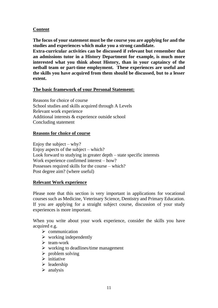#### **Content**

**The focus of your statement must be the course you are applying for and the studies and experiences which make you a strong candidate.**

**Extra-curricular activities can be discussed if relevant but remember that an admissions tutor in a History Department for example, is much more interested what you think about History, than in your captaincy of the netball team or part-time employment. These experiences are useful and the skills you have acquired from them should be discussed, but to a lesser extent.**

#### **The basic framework of your Personal Statement:**

Reasons for choice of course School studies and skills acquired through A Levels Relevant work experience Additional interests & experience outside school Concluding statement

#### **Reasons for choice of course**

Enjoy the subject – why? Enjoy aspects of the subject – which? Look forward to studying in greater depth – state specific interests Work experience confirmed interest – how? Possesses required skills for the course – which? Post degree aim? (where useful)

#### **Relevant Work experience**

Please note that this section is very important in applications for vocational courses such as Medicine, Veterinary Science, Dentistry and Primary Education. If you are applying for a straight subject course, discussion of your study experiences is more important.

When you write about your work experience, consider the skills you have acquired e.g.

- $\triangleright$  communication
- $\triangleright$  working independently
- ➢ team-work
- $\triangleright$  working to deadlines/time management
- $\triangleright$  problem solving
- ➢ initiative
- ➢ leadership
- $\triangleright$  analysis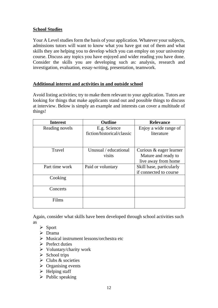#### **School Studies**

Your A Level studies form the basis of your application. Whatever your subjects, admissions tutors will want to know what you have got out of them and what skills they are helping you to develop which you can employ on your university course. Discuss any topics you have enjoyed and wider reading you have done. Consider the skills you are developing such as: analysis, research and investigation, evaluation, essay-writing, presentation, teamwork.

#### **Additional interest and activities in and outside school**

Avoid listing activities; try to make them relevant to your application. Tutors are looking for things that make applicants stand out and possible things to discuss at interview. Below is simply an example and interests can cover a multitude of things!

| <b>Interest</b> | <b>Outline</b>             | <b>Relevance</b>         |
|-----------------|----------------------------|--------------------------|
| Reading novels  | E.g. Science               | Enjoy a wide range of    |
|                 | fiction/historical/classic | literature               |
|                 |                            |                          |
| Travel          | Unusual / educational      | Curious & eager learner  |
|                 | visits                     | Mature and ready to      |
|                 |                            | live away from home      |
| Part time work  | Paid or voluntary          | Skill base, particularly |
|                 |                            | if connected to course   |
| Cooking         |                            |                          |
| Concerts        |                            |                          |
| Films           |                            |                          |

Again, consider what skills have been developed through school activities such as

- ➢ Sport
- ➢ Drama
- ➢ Musical instrument lessons/orchestra etc
- ➢ Prefect duties
- ➢ Voluntary/charity work
- $\triangleright$  School trips
- $\triangleright$  Clubs & societies
- $\triangleright$  Organising events
- $\triangleright$  Helping staff
- $\triangleright$  Public speaking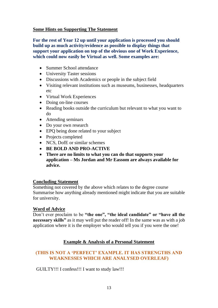#### **Some Hints on Supporting The Statement**

**For the rest of Year 12 up until your application is processed you should build up as much activity/evidence as possible to display things that support your application on top of the obvious one of Work Experience, which could now easily be Virtual as well. Some examples are:**

- Summer School attendance
- University Taster sessions
- Discussions with Academics or people in the subject field
- Visiting relevant institutions such as museums, businesses, headquarters etc
- Virtual Work Experiences
- Doing on-line courses
- Reading books outside the curriculum but relevant to what you want to do
- Attending seminars
- Do your own research
- EPQ being done related to your subject
- Projects completed
- NCS, DofE or similar schemes
- **BE BOLD AND PRO-ACTIVE**
- **There are no limits to what you can do that supports your application – Ms Jordan and Mr Eassom are always available for advice.**

#### **Concluding Statement**

Something not covered by the above which relates to the degree course Summarise how anything already mentioned might indicate that you are suitable for university.

#### **Word of Advice**

Don't ever proclaim to be **"the one", "the ideal candidate" or "have all the necessary skills"** as it may well put the reader off! In the same was as with a job application where it is the employer who would tell you if you were the one!

#### **Example & Analysis of a Personal Statement**

#### **(THIS IS NOT A 'PERFECT' EXAMPLE. IT HAS STRENGTHS AND WEAKNESSES WHICH ARE ANALYSED OVERLEAF)**

GUILTY!!! I confess!!! I want to study law!!!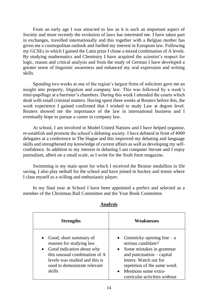From an early age I was attracted to law as it is such an important aspect of Society and more recently the evolution of laws has interested me. I have taken part in exchanges, travelled internationally and this together with a Belgian mother has given me a cosmopolitan outlook and fuelled my interest in European law. Following my GCSEs in which I gained the Latin prize I chose a mixed combination of A levels. By studying mathematics and Chemistry I have acquired the scientist's respect for logic, reason and critical analysis and from the study of German I have developed a greater sense of linguistic awareness and enhanced my oral expression and writing skills.

Spending two weeks at one of the region's largest firms of solicitors gave me an insight into property, litigation and company law. This was followed by a week's mini-pupillage at a barrister's chambers. During this week I attended the courts which dealt with small criminal matters. Having spent three weeks at Reuters before this, the work experience I gained confirmed that I wished to study Law at degree level. Reuters showed me the importance of the law in international business and I eventually hope to pursue a career in company law.

At school, I am involved in Model United Nations and I have helped organise, re-establish and promote the school's debating society. I have debated in front of 4000 delegates at a conference in The Hague and this improved my debating and language skills and strengthened my knowledge of current affairs as well as developing my selfconfidence. In addition to my interest in debating I am computer literate and I enjoy journalism, albeit on a small scale, as I write for the Sixth form magazine.

Swimming is my main sport for which I received the Bronze medallion in life saving. I also play netball for the school and have joined in hockey and tennis where I class myself as a willing and enthusiastic player.

In my final year at School I have been appointed a prefect and selected as a member of the Christmas Ball Committee and the Year Book Committee.

| <b>Strengths</b>                                                                                                                                                                             | <b>Weaknesses</b>                                                                                                                                                                                                                                                      |
|----------------------------------------------------------------------------------------------------------------------------------------------------------------------------------------------|------------------------------------------------------------------------------------------------------------------------------------------------------------------------------------------------------------------------------------------------------------------------|
| Good, short summary of<br>reasons for studying law<br>Good indication about why<br>this unusual combination of A<br>levels was studied and this is<br>used to demonstrate relevant<br>skills | Gimmicky opening line $- a$<br>$\bullet$<br>serious candidate?<br>Some mistakes in grammar<br>$\bullet$<br>and punctuation $-$ capital<br>letters. Watch out for<br>repetition of the same word.<br>Mentions some extra-<br>$\bullet$<br>curricular activities without |

#### **Analysis**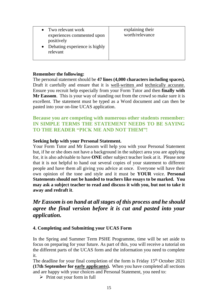#### **Remember the following:**

The personal statement should be **47 lines (4,000 characters including spaces).** Draft it carefully and ensure that it is well-written and technically accurate. Ensure you recruit help especially from your Form Tutor and then **finally with Mr Eassom**. This is your way of standing out from the crowd so make sure it is excellent. The statement must be typed as a Word document and can then be pasted into your on-line UCAS application.

#### **Because you are competing with numerous other students remember: IN SIMPLE TERMS THE STATEMENT NEEDS TO BE SAYING TO THE READER "PICK ME AND NOT THEM"!**

#### **Seeking help with your Personal Statement.**

Your Form Tutor and Mr Eassom will help you with your Personal Statement but, if he or she does not have a background in the subject area you are applying for, it is also advisable to have **ONE** other subject teacher look at it. Please note that it is not helpful to hand out several copies of your statement to different people and have them all giving you advice at once. Everyone will have their own opinion of the tone and style and it must be **YOUR** voice. **Personal Statements should not be handed to teachers like essays to be marked. You may ask a subject teacher to read and discuss it with you, but not to take it away and redraft it**.

#### *Mr Eassom is on hand at all stages of this process and he should agree the final version before it is cut and pasted into your application.*

#### **4. Completing and Submitting your UCAS Form**

In the Spring and Summer Term PSHE Programme, time will be set aside to focus on preparing for your future. As part of this, you will receive a tutorial on the different parts of the UCAS form and the information you need to complete it.

The deadline for your final completion of the form is Friday 15<sup>th</sup> October 2021 **(17th September for early applicants).** When you have completed all sections and are happy with your choices and Personal Statement, you need to:

 $\triangleright$  Print out your form in full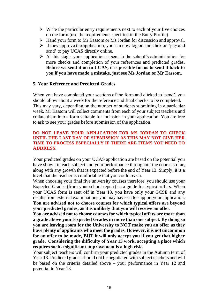- $\triangleright$  Write the particular entry requirements next to each of your five choices on the form (use the requirements specified in the Entry Profile)
- ➢ Hand your form to Mr Eassom or Ms Jordan for discussion and approval.
- ➢ If they approve the application, you can now log on and click on 'pay and send' to pay UCAS directly online.
- ➢ At this stage, your application is sent to the school's administration for more checks and completion of your references and predicted grades. **Before we send it on to UCAS, it is possible for us to send it back to you if you have made a mistake, just see Ms Jordan or Mr Eassom.**

#### **5. Your Reference and Predicted Grades**

When you have completed your sections of the form and clicked to 'send', you should allow about a week for the reference and final checks to be completed. This may vary, depending on the number of students submitting in a particular week**.** Mr Eassom will collect comments from each of your subject teachers and collate them into a form suitable for inclusion in your application. You are free to ask to see your grades before submission of the application.

#### **DO NOT LEAVE YOUR APPLICATION FOR MS JORDAN TO CHECK UNTIL THE LAST DAY OF SUBMISSION AS THIS MAY NOT GIVE HER TIME TO PROCESS ESPECIALLY IF THERE ARE ITEMS YOU NEED TO ADDRESS**.

Your predicted grades on your UCAS application are based on the potential you have shown in each subject and your performance throughout the course so far, along with any growth that is expected before the end of Year 13. Simply, it is a level that the teacher is comfortable that you could reach.

When choosing your final five university courses therefore, you should use your Expected Grades (from your school report) as a guide for typical offers. When your UCAS form is sent off in Year 13, you have only your GCSE and any results from external examinations you may have sat to support your application. **You are advised not to choose courses for which typical offers are beyond your predicted grades, as it is unlikely that you will receive an offer.**

**You are advised not to choose courses for which typical offers are more than a grade above your Expected Grades in more than one subject. By doing so you are leaving room for the University to NOT make you an offer as they have plenty of applicants who meet the grades. However, it is not uncommon for an offer to be made, BUT it will only accept you if you get that higher grade. Considering the difficulty of Year 13 work, accepting a place which requires such a significant improvement is a high risk.**

Your subject teachers will confirm your predicted grades in the Autumn term of Year 13. Predicted grades should not be negotiated with subject teachers and will be based on the criteria detailed above – your performance in Year 12 and potential in Year 13.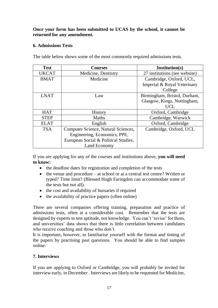#### **Once your form has been submitted to UCAS by the school, it cannot be returned for any amendment.**

#### **6. Admissions Tests**

The table below shows some of the most commonly required admissions tests.

| <b>Test</b>  | <b>Courses</b>                       | Institution(s)                |
|--------------|--------------------------------------|-------------------------------|
| <b>UKCAT</b> | Medicine, Dentistry                  | 27 institutions (see website) |
| <b>BMAT</b>  | Medicine                             | Cambridge, Oxford, UCL,       |
|              |                                      | Imperial & Royal Veterinary   |
|              |                                      | College                       |
| <b>LNAT</b>  | Law                                  | Birmingham, Bristol, Durham,  |
|              |                                      | Glasgow, Kings, Nottingham,   |
|              |                                      | <b>UCL</b>                    |
| <b>HAT</b>   | <b>History</b>                       | Oxford, Cambridge             |
| <b>STEP</b>  | <b>Maths</b>                         | Cambridge, Warwick            |
| <b>ELAT</b>  | English                              | Oxford, Cambridge             |
| <b>TSA</b>   | Computer Science, Natural Sciences,  | Cambridge, Oxford, UCL        |
|              | Engineering, Economics, PPE,         |                               |
|              | European Social & Political Studies, |                               |
|              | Land Economy                         |                               |

If you are applying for any of the courses and institutions above, **you will need to know:** 

- the deadline dates for registration and completion of the tests
- the venue and procedure at school or at a central test centre? Written or typed? Time limit? (Blessed Hugh Faringdon can accommodate some of the tests but not all).
- the cost and availability of bursaries if required
- the availability of practice papers (often online)

There are several companies offering training, preparation and practice of admissions tests, often at a considerable cost. Remember that the tests are designed by experts to test aptitude, not knowledge. You can't 'revise' for them, and universities' data shows that there is little correlation between candidates who receive coaching and those who don't.

It is important, however, to familiarise yourself with the format and timing of the papers by practising past questions. You should be able to find samples online.

#### **7. Interviews**

If you are applying to Oxford or Cambridge, you will probably be invited for interview early, in December. Interviews are likely to be requested for Medicine,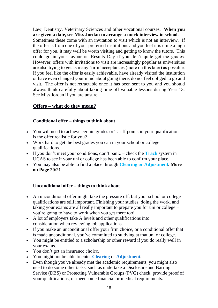Law, Dentistry, Veterinary Sciences and other vocational courses. **When you are given a date, see Miss Jordan to arrange a mock interview in school.** Sometimes these come with an invitation to visit which is not an interview. If the offer is from one of your preferred institutions and you feel it is quite a high offer for you, it may well be worth visiting and getting to know the tutors. This could go in your favour on Results Day if you don't quite get the grades. However, offers with invitations to visit are increasingly popular as universities are also trying to get as many 'firm' acceptances (more on this later) as possible. If you feel like the offer is easily achievable, have already visited the institution or have even changed your mind about going there, do not feel obliged to go and visit. The offer is not retractable once it has been sent to you and you should always think carefully about taking time off valuable lessons during Year 13. See Miss Jordan if you are unsure.

#### **Offers – what do they mean?**

#### **Conditional offer – things to think about**

- You will need to achieve certain grades or [Tariff points](https://www.ucas.com/undergraduate/what-and-where-study/entry-requirements/ucas-tariff-points) in your qualifications is the offer realistic for you?
- Work hard to get the best grades you can in your school or college qualifications.
- If you don't meet your conditions, don't panic check the **Track** system in UCAS to see if your uni or college has been able to confirm your place.
- You may also be able to find a place through **[Clearing](https://www.ucas.com/undergraduate/results-confirmation-and-clearing/what-clearing) or [Adjustment.](https://www.ucas.com/providers/undergraduate/undergraduate-application-process/adjustment) More on Page 20/21**

#### **Unconditional offer – things to think about**

- An unconditional offer might take the pressure off, but your school or college qualifications are still important. Finishing your studies, doing the work, and taking your exams are all really important to prepare you for uni or college – you're going to have to work when you get there too!
- A lot of employers take A levels and other qualifications into consideration when reviewing job applications.
- If you make an unconditional offer your firm choice, or a conditional offer that is made unconditional, you've committed to studying at that uni or college.
- You might be entitled to a scholarship or other reward if you do really well in your exams.
- You don't get an insurance choice.
- You might not be able to enter **[Clearing](https://www.ucas.com/undergraduate/results-confirmation-and-clearing/what-clearing)** or **[Adjustment.](https://www.ucas.com/providers/undergraduate/undergraduate-application-process/adjustment)**
- Even though you've already met the academic requirements, you might also need to do some other tasks, such as undertake a Disclosure and Barring Service (DBS) or Protecting Vulnerable Groups (PVG) check, provide proof of your qualifications, or meet some financial or medical requirements.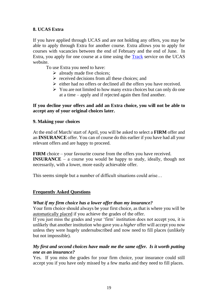#### **8. UCAS Extra**

If you have applied through UCAS and are not holding any offers, you may be able to apply through Extra for another course. Extra allows you to apply for courses with vacancies between the end of February and the end of June. In Extra, you apply for one course at a time using the [Track](http://www.ucas.com/students/track/) service on the UCAS website.

To use Extra you need to have:

- $\triangleright$  already made five choices;
- $\triangleright$  received decisions from all these choices; and
- ➢ either had no offers or declined all the offers you have received.
- ➢ You are not limited to how many extra choices but can only do one at a time – apply and if rejected again then find another.

#### **If you decline your offers and add an Extra choice, you will not be able to accept any of your original choices later.**

#### **9. Making your choices**

At the end of March/ start of April, you will be asked to select a **FIRM** offer and an **INSURANCE** offer. You can of course do this earlier if you have had all your relevant offers and are happy to proceed.

**FIRM** choice – your favourite course from the offers you have received. **INSURANCE** – a course you would be happy to study, ideally, though not necessarily, with a lower, more easily achievable offer.

This seems simple but a number of difficult situations could arise…

#### **Frequently Asked Questions**

#### *What if my firm choice has a lower offer than my insurance?*

Your firm choice should always be your first choice, as that is where you will be automatically placed if you achieve the grades of the offer.

If you just miss the grades and your 'firm' institution does not accept you, it is unlikely that another institution who gave you a *higher* offer will accept you now unless they were hugely undersubscribed and now need to fill places (unlikely but not impossible).

#### *My first and second choices have made me the same offer. Is it worth putting one as an insurance?*

Yes. If you miss the grades for your firm choice, your insurance could still accept you if you have only missed by a few marks and they need to fill places.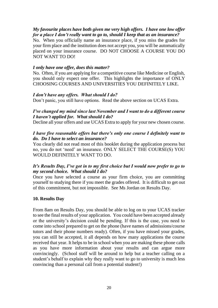#### *My favourite places have both given me very high offers. I have one low offer for a place I don't really want to go to, should I keep that as an insurance?*

No. When you officially name an insurance place, if you miss the grades for your firm place and the institution does not accept you, you will be automatically placed on your insurance course. DO NOT CHOOSE A COURSE YOU DO NOT WANT TO DO!

#### *I only have one offer, does this matter?*

No. Often, if you are applying for a competitive course like Medicine or English, you should only expect one offer. This highlights the importance of ONLY CHOOSING COURSES AND UNIVERSITIES YOU DEFINITELY LIKE.

#### *I don't have any offers. What should I do?*

Don't panic, you still have options. Read the above section on UCAS Extra.

#### *I've changed my mind since last November and I want to do a different course I haven't applied for. What should I do?*

Decline all your offers and use UCAS Extra to apply for your new chosen course.

#### *I have five reasonable offers but there's only one course I definitely want to do. Do I have to select an insurance?*

You clearly did not read most of this booklet during the application process but no, you do not 'need' an insurance. ONLY SELECT THE COURSE(S) YOU WOULD DEFINITELY WANT TO DO.

#### *It's Results Day, I've got in to my first choice but I would now prefer to go to my second choice. What should I do?*

Once you have selected a course as your firm choice, you are committing yourself to studying there if you meet the grades offered. It is difficult to get out of this commitment, but not impossible. See Ms Jordan on Results Day.

#### **10. Results Day**

From 8am on Results Day, you should be able to log on to your UCAS tracker to see the final results of your application. You could have been accepted already or the university's decision could be pending. If this is the case, you need to come into school prepared to get on the phone (have names of admissions/course tutors and their phone numbers ready). Often, if you have missed your grades, you can still be accepted, it all depends on how many applications the course received that year. It helps to be in school when you are making these phone calls as you have more information about your results and can argue more convincingly. (School staff will be around to help but a teacher calling on a student's behalf to explain why they really want to go to university is much less convincing than a personal call from a potential student!)